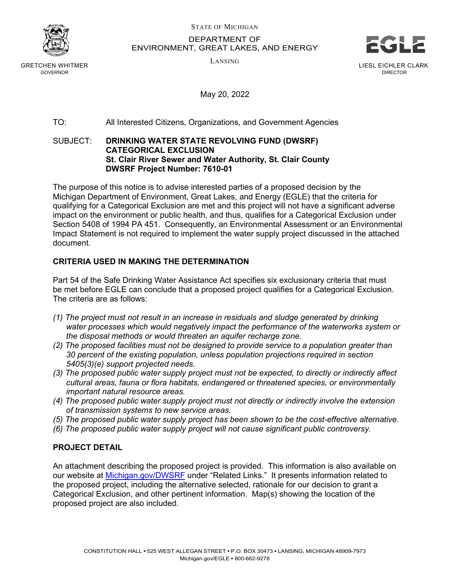

GRETCHEN WHITMER GOVERNOR

STATE OF MICHIGAN

DEPARTMENT OF ENVIRONMENT, GREAT LAKES, AND ENERGY



LIESL EICHLER CLARK DIRECTOR

LANSING

May 20, 2022

# TO: All Interested Citizens, Organizations, and Government Agencies

#### SUBJECT: **DRINKING WATER STATE REVOLVING FUND (DWSRF) CATEGORICAL EXCLUSION St. Clair River Sewer and Water Authority, St. Clair County DWSRF Project Number: 7610-01**

The purpose of this notice is to advise interested parties of a proposed decision by the Michigan Department of Environment, Great Lakes, and Energy (EGLE) that the criteria for qualifying for a Categorical Exclusion are met and this project will not have a significant adverse impact on the environment or public health, and thus, qualifies for a Categorical Exclusion under Section 5408 of 1994 PA 451. Consequently, an Environmental Assessment or an Environmental Impact Statement is not required to implement the water supply project discussed in the attached document.

## **CRITERIA USED IN MAKING THE DETERMINATION**

Part 54 of the Safe Drinking Water Assistance Act specifies six exclusionary criteria that must be met before EGLE can conclude that a proposed project qualifies for a Categorical Exclusion. The criteria are as follows:

- *(1) The project must not result in an increase in residuals and sludge generated by drinking water processes which would negatively impact the performance of the waterworks system or the disposal methods or would threaten an aquifer recharge zone.*
- *(2) The proposed facilities must not be designed to provide service to a population greater than 30 percent of the existing population, unless population projections required in section 5405(3)(e) support projected needs.*
- *(3) The proposed public water supply project must not be expected, to directly or indirectly affect cultural areas, fauna or flora habitats, endangered or threatened species, or environmentally important natural resource areas.*
- *(4) The proposed public water supply project must not directly or indirectly involve the extension of transmission systems to new service areas.*
- *(5) The proposed public water supply project has been shown to be the cost-effective alternative.*
- *(6) The proposed public water supply project will not cause significant public controversy.*

## **PROJECT DETAIL**

An attachment describing the proposed project is provided. This information is also available on our website at [Michigan.gov/DWSRF](http://www.michigan.gov/drinkingwaterrevolvingfund) under "Related Links." It presents information related to the proposed project, including the alternative selected, rationale for our decision to grant a Categorical Exclusion, and other pertinent information. Map(s) showing the location of the proposed project are also included.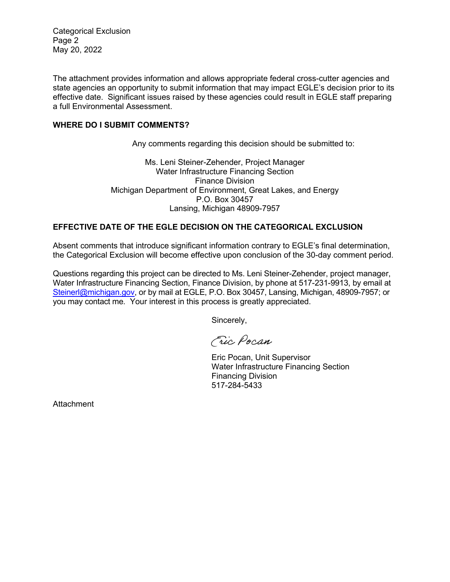Categorical Exclusion Page 2 May 20, 2022

The attachment provides information and allows appropriate federal cross-cutter agencies and state agencies an opportunity to submit information that may impact EGLE's decision prior to its effective date. Significant issues raised by these agencies could result in EGLE staff preparing a full Environmental Assessment.

#### **WHERE DO I SUBMIT COMMENTS?**

Any comments regarding this decision should be submitted to:

Ms. Leni Steiner-Zehender, Project Manager Water Infrastructure Financing Section Finance Division Michigan Department of Environment, Great Lakes, and Energy P.O. Box 30457 Lansing, Michigan 48909-7957

## **EFFECTIVE DATE OF THE EGLE DECISION ON THE CATEGORICAL EXCLUSION**

Absent comments that introduce significant information contrary to EGLE's final determination, the Categorical Exclusion will become effective upon conclusion of the 30-day comment period.

Questions regarding this project can be directed to Ms. Leni Steiner-Zehender, project manager, Water Infrastructure Financing Section, Finance Division, by phone at 517-231-9913, by email at [Steinerl@michigan.gov,](mailto:Steinerl@michigan.gov) or by mail at EGLE, P.O. Box 30457, Lansing, Michigan, 48909-7957; or you may contact me. Your interest in this process is greatly appreciated.

Sincerely,

Fric Pocan

Eric Pocan, Unit Supervisor Water Infrastructure Financing Section Financing Division 517-284-5433

Attachment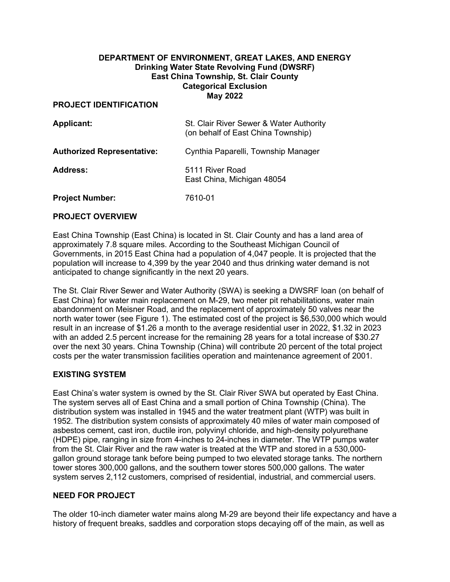## **DEPARTMENT OF ENVIRONMENT, GREAT LAKES, AND ENERGY Drinking Water State Revolving Fund (DWSRF) East China Township, St. Clair County Categorical Exclusion May 2022**

#### **PROJECT IDENTIFICATION**

| <b>Applicant:</b>                 | St. Clair River Sewer & Water Authority<br>(on behalf of East China Township) |
|-----------------------------------|-------------------------------------------------------------------------------|
| <b>Authorized Representative:</b> | Cynthia Paparelli, Township Manager                                           |
| <b>Address:</b>                   | 5111 River Road<br>East China, Michigan 48054                                 |
| <b>Project Number:</b>            | 7610-01                                                                       |

#### **PROJECT OVERVIEW**

East China Township (East China) is located in St. Clair County and has a land area of approximately 7.8 square miles. According to the Southeast Michigan Council of Governments, in 2015 East China had a population of 4,047 people. It is projected that the population will increase to 4,399 by the year 2040 and thus drinking water demand is not anticipated to change significantly in the next 20 years.

The St. Clair River Sewer and Water Authority (SWA) is seeking a DWSRF loan (on behalf of East China) for water main replacement on M-29, two meter pit rehabilitations, water main abandonment on Meisner Road, and the replacement of approximately 50 valves near the north water tower (see Figure 1). The estimated cost of the project is \$6,530,000 which would result in an increase of \$1.26 a month to the average residential user in 2022, \$1.32 in 2023 with an added 2.5 percent increase for the remaining 28 years for a total increase of \$30.27 over the next 30 years. China Township (China) will contribute 20 percent of the total project costs per the water transmission facilities operation and maintenance agreement of 2001.

## **EXISTING SYSTEM**

East China's water system is owned by the St. Clair River SWA but operated by East China. The system serves all of East China and a small portion of China Township (China). The distribution system was installed in 1945 and the water treatment plant (WTP) was built in 1952. The distribution system consists of approximately 40 miles of water main composed of asbestos cement, cast iron, ductile iron, polyvinyl chloride, and high-density polyurethane (HDPE) pipe, ranging in size from 4-inches to 24-inches in diameter. The WTP pumps water from the St. Clair River and the raw water is treated at the WTP and stored in a 530,000 gallon ground storage tank before being pumped to two elevated storage tanks. The northern tower stores 300,000 gallons, and the southern tower stores 500,000 gallons. The water system serves 2,112 customers, comprised of residential, industrial, and commercial users.

## **NEED FOR PROJECT**

The older 10-inch diameter water mains along M‐29 are beyond their life expectancy and have a history of frequent breaks, saddles and corporation stops decaying off of the main, as well as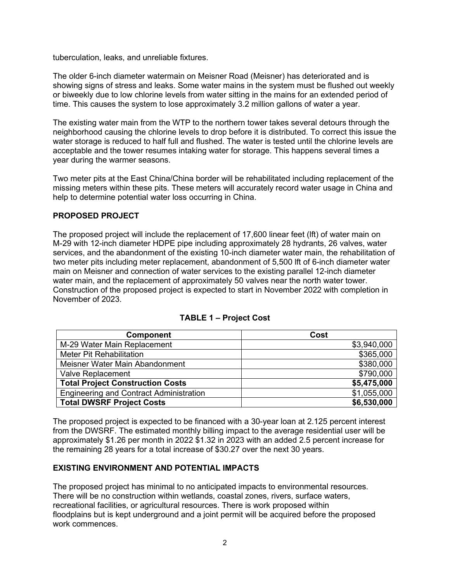tuberculation, leaks, and unreliable fixtures.

The older 6-inch diameter watermain on Meisner Road (Meisner) has deteriorated and is showing signs of stress and leaks. Some water mains in the system must be flushed out weekly or biweekly due to low chlorine levels from water sitting in the mains for an extended period of time. This causes the system to lose approximately 3.2 million gallons of water a year.

The existing water main from the WTP to the northern tower takes several detours through the neighborhood causing the chlorine levels to drop before it is distributed. To correct this issue the water storage is reduced to half full and flushed. The water is tested until the chlorine levels are acceptable and the tower resumes intaking water for storage. This happens several times a year during the warmer seasons.

Two meter pits at the East China/China border will be rehabilitated including replacement of the missing meters within these pits. These meters will accurately record water usage in China and help to determine potential water loss occurring in China.

#### **PROPOSED PROJECT**

The proposed project will include the replacement of 17,600 linear feet (lft) of water main on M-29 with 12-inch diameter HDPE pipe including approximately 28 hydrants, 26 valves, water services, and the abandonment of the existing 10-inch diameter water main, the rehabilitation of two meter pits including meter replacement, abandonment of 5,500 lft of 6-inch diameter water main on Meisner and connection of water services to the existing parallel 12-inch diameter water main, and the replacement of approximately 50 valves near the north water tower. Construction of the proposed project is expected to start in November 2022 with completion in November of 2023.

| <b>Component</b>                               | Cost        |
|------------------------------------------------|-------------|
| M-29 Water Main Replacement                    | \$3,940,000 |
| <b>Meter Pit Rehabilitation</b>                | \$365,000   |
| Meisner Water Main Abandonment                 | \$380,000   |
| <b>Valve Replacement</b>                       | \$790,000   |
| <b>Total Project Construction Costs</b>        | \$5,475,000 |
| <b>Engineering and Contract Administration</b> | \$1,055,000 |
| <b>Total DWSRF Project Costs</b>               | \$6,530,000 |

#### **TABLE 1 – Project Cost**

The proposed project is expected to be financed with a 30-year loan at 2.125 percent interest from the DWSRF. The estimated monthly billing impact to the average residential user will be approximately \$1.26 per month in 2022 \$1.32 in 2023 with an added 2.5 percent increase for the remaining 28 years for a total increase of \$30.27 over the next 30 years.

#### **EXISTING ENVIRONMENT AND POTENTIAL IMPACTS**

The proposed project has minimal to no anticipated impacts to environmental resources. There will be no construction within wetlands, coastal zones, rivers, surface waters, recreational facilities, or agricultural resources. There is work proposed within floodplains but is kept underground and a joint permit will be acquired before the proposed work commences.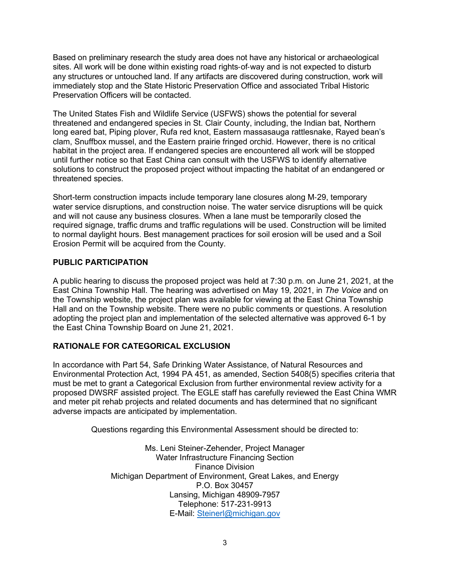Based on preliminary research the study area does not have any historical or archaeological sites. All work will be done within existing road rights-of-way and is not expected to disturb any structures or untouched land. If any artifacts are discovered during construction, work will immediately stop and the State Historic Preservation Office and associated Tribal Historic Preservation Officers will be contacted.

The United States Fish and Wildlife Service (USFWS) shows the potential for several threatened and endangered species in St. Clair County, including, the Indian bat, Northern long eared bat, Piping plover, Rufa red knot, Eastern massasauga rattlesnake, Rayed bean's clam, Snuffbox mussel, and the Eastern prairie fringed orchid. However, there is no critical habitat in the project area. If endangered species are encountered all work will be stopped until further notice so that East China can consult with the USFWS to identify alternative solutions to construct the proposed project without impacting the habitat of an endangered or threatened species.

Short-term construction impacts include temporary lane closures along M‐29, temporary water service disruptions, and construction noise. The water service disruptions will be quick and will not cause any business closures. When a lane must be temporarily closed the required signage, traffic drums and traffic regulations will be used. Construction will be limited to normal daylight hours. Best management practices for soil erosion will be used and a Soil Erosion Permit will be acquired from the County.

## **PUBLIC PARTICIPATION**

A public hearing to discuss the proposed project was held at 7:30 p.m. on June 21, 2021, at the East China Township Hall. The hearing was advertised on May 19, 2021, in *The Voice* and on the Township website, the project plan was available for viewing at the East China Township Hall and on the Township website. There were no public comments or questions. A resolution adopting the project plan and implementation of the selected alternative was approved 6-1 by the East China Township Board on June 21, 2021.

## **RATIONALE FOR CATEGORICAL EXCLUSION**

In accordance with Part 54, Safe Drinking Water Assistance, of Natural Resources and Environmental Protection Act, 1994 PA 451, as amended, Section 5408(5) specifies criteria that must be met to grant a Categorical Exclusion from further environmental review activity for a proposed DWSRF assisted project. The EGLE staff has carefully reviewed the East China WMR and meter pit rehab projects and related documents and has determined that no significant adverse impacts are anticipated by implementation.

Questions regarding this Environmental Assessment should be directed to:

Ms. Leni Steiner-Zehender, Project Manager Water Infrastructure Financing Section Finance Division Michigan Department of Environment, Great Lakes, and Energy P.O. Box 30457 Lansing, Michigan 48909-7957 Telephone: 517-231-9913 E-Mail: [Steinerl@michigan.gov](mailto:Steinerl@michigan.gov)